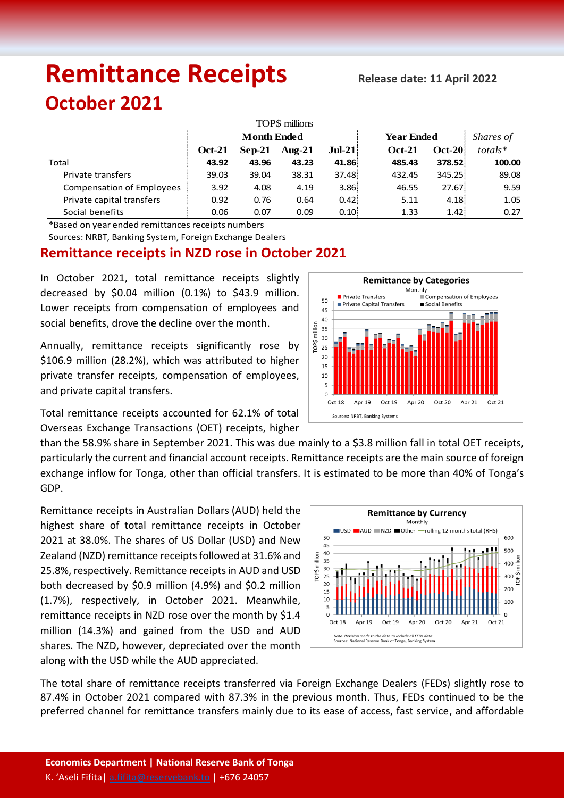# **Remittance Receipts Release date: <sup>11</sup> April <sup>2022</sup>**

# **October 2021**

| TOP\$ millions                   |                    |          |           |          |                   |          |           |  |  |  |  |  |
|----------------------------------|--------------------|----------|-----------|----------|-------------------|----------|-----------|--|--|--|--|--|
|                                  | <b>Month Ended</b> |          |           |          | <b>Year Ended</b> |          | Shares of |  |  |  |  |  |
|                                  | <b>Oct-21</b>      | $Sep-21$ | Aug- $21$ | $Jul-21$ | <b>Oct-21</b>     | $Oct-20$ | $totals*$ |  |  |  |  |  |
| Total                            | 43.92              | 43.96    | 43.23     | 41.86    | 485.43            | 378.52   | 100.00    |  |  |  |  |  |
| Private transfers                | 39.03              | 39.04    | 38.31     | 37.48    | 432.45            | 345.25:  | 89.08     |  |  |  |  |  |
| <b>Compensation of Employees</b> | 3.92               | 4.08     | 4.19      | 3.86     | 46.55             | 27.67    | 9.59      |  |  |  |  |  |
| Private capital transfers        | 0.92               | 0.76     | 0.64      | 0.42     | 5.11              | 4.18:    | 1.05      |  |  |  |  |  |
| Social benefits                  | 0.06               | 0.07     | 0.09      | 0.10     | 1.33              | 1.42:    | 0.27      |  |  |  |  |  |

\*Based on year ended remittances receipts numbers

Sources: NRBT, Banking System, Foreign Exchange Dealers

## **Remittance receipts in NZD rose in October 2021**

In October 2021, total remittance receipts slightly decreased by \$0.04 million (0.1%) to \$43.9 million. Lower receipts from compensation of employees and social benefits, drove the decline over the month.

Annually, remittance receipts significantly rose by \$106.9 million (28.2%), which was attributed to higher private transfer receipts, compensation of employees, and private capital transfers.

Total remittance receipts accounted for 62.1% of total Overseas Exchange Transactions (OET) receipts, higher

than the 58.9% share in September 2021. This was due mainly to a \$3.8 million fall in total OET receipts, particularly the current and financial account receipts. Remittance receipts are the main source of foreign exchange inflow for Tonga, other than official transfers. It is estimated to be more than 40% of Tonga's GDP.

Remittance receipts in Australian Dollars (AUD) held the highest share of total remittance receipts in October 2021 at 38.0%. The shares of US Dollar (USD) and New Zealand (NZD) remittance receipts followed at 31.6% and 25.8%, respectively. Remittance receipts in AUD and USD both decreased by \$0.9 million (4.9%) and \$0.2 million (1.7%), respectively, in October 2021. Meanwhile, remittance receipts in NZD rose over the month by \$1.4 million (14.3%) and gained from the USD and AUD shares. The NZD, however, depreciated over the month along with the USD while the AUD appreciated.



The total share of remittance receipts transferred via Foreign Exchange Dealers (FEDs) slightly rose to 87.4% in October 2021 compared with 87.3% in the previous month. Thus, FEDs continued to be the preferred channel for remittance transfers mainly due to its ease of access, fast service, and affordable

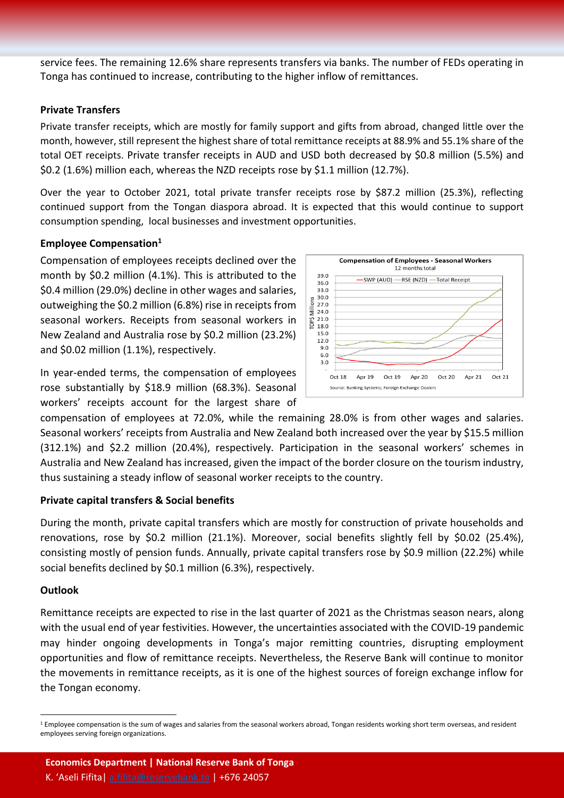service fees. The remaining 12.6% share represents transfers via banks. The number of FEDs operating in Tonga has continued to increase, contributing to the higher inflow of remittances.

#### **Private Transfers**

Private transfer receipts, which are mostly for family support and gifts from abroad, changed little over the month, however, still represent the highest share of total remittance receipts at 88.9% and 55.1% share of the total OET receipts. Private transfer receipts in AUD and USD both decreased by \$0.8 million (5.5%) and \$0.2 (1.6%) million each, whereas the NZD receipts rose by \$1.1 million (12.7%).

Over the year to October 2021, total private transfer receipts rose by \$87.2 million (25.3%), reflecting continued support from the Tongan diaspora abroad. It is expected that this would continue to support consumption spending, local businesses and investment opportunities.

#### **Employee Compensation<sup>1</sup>**

Compensation of employees receipts declined over the month by \$0.2 million (4.1%). This is attributed to the \$0.4 million (29.0%) decline in other wages and salaries, outweighing the \$0.2 million (6.8%) rise in receipts from seasonal workers. Receipts from seasonal workers in New Zealand and Australia rose by \$0.2 million (23.2%) and \$0.02 million (1.1%), respectively.

In year-ended terms, the compensation of employees rose substantially by \$18.9 million (68.3%). Seasonal workers' receipts account for the largest share of



compensation of employees at 72.0%, while the remaining 28.0% is from other wages and salaries. Seasonal workers' receipts from Australia and New Zealand both increased over the year by \$15.5 million (312.1%) and \$2.2 million (20.4%), respectively. Participation in the seasonal workers' schemes in Australia and New Zealand has increased, given the impact of the border closure on the tourism industry, thus sustaining a steady inflow of seasonal worker receipts to the country.

#### **Private capital transfers & Social benefits**

During the month, private capital transfers which are mostly for construction of private households and renovations, rose by \$0.2 million (21.1%). Moreover, social benefits slightly fell by \$0.02 (25.4%), consisting mostly of pension funds. Annually, private capital transfers rose by \$0.9 million (22.2%) while social benefits declined by \$0.1 million (6.3%), respectively.

#### **Outlook**

 $\ddot{\phantom{a}}$ 

Remittance receipts are expected to rise in the last quarter of 2021 as the Christmas season nears, along with the usual end of year festivities. However, the uncertainties associated with the COVID-19 pandemic may hinder ongoing developments in Tonga's major remitting countries, disrupting employment opportunities and flow of remittance receipts. Nevertheless, the Reserve Bank will continue to monitor the movements in remittance receipts, as it is one of the highest sources of foreign exchange inflow for the Tongan economy.

<sup>&</sup>lt;sup>1</sup> Employee compensation is the sum of wages and salaries from the seasonal workers abroad, Tongan residents working short term overseas, and resident employees serving foreign organizations.